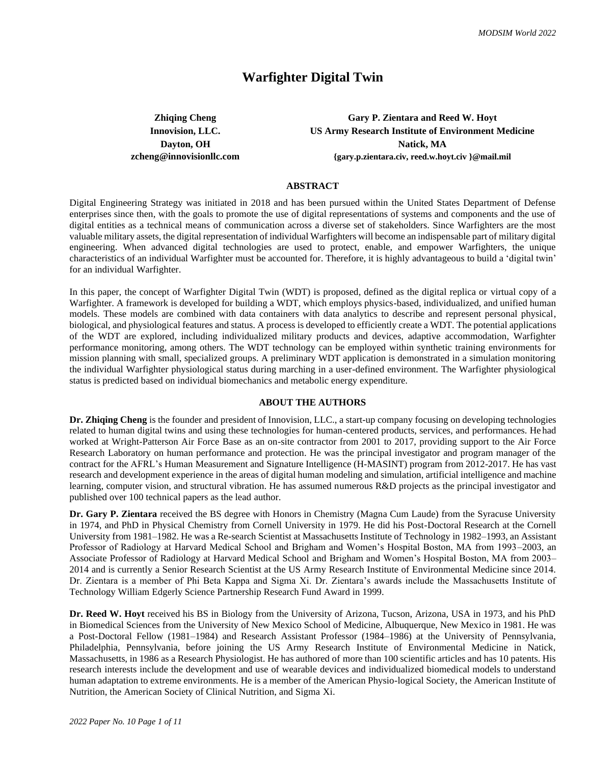# **Warfighter Digital Twin**

**Zhiqing Cheng Gary P. Zientara and Reed W. Hoyt Innovision, LLC. US Army Research Institute of Environment Medicine Dayton, OH Natick, MA [zcheng@innovisionllc.com](mailto:zcheng@innovisionllc.com) {gary.p.zientara.civ, reed.w.hoyt.civ }@mail.mil**

# **ABSTRACT**

Digital Engineering Strategy was initiated in 2018 and has been pursued within the United States Department of Defense enterprises since then, with the goals to promote the use of digital representations of systems and components and the use of digital entities as a technical means of communication across a diverse set of stakeholders. Since Warfighters are the most valuable military assets, the digital representation of individual Warfighters will become an indispensable part of military digital engineering. When advanced digital technologies are used to protect, enable, and empower Warfighters, the unique characteristics of an individual Warfighter must be accounted for. Therefore, it is highly advantageous to build a 'digital twin' for an individual Warfighter.

In this paper, the concept of Warfighter Digital Twin (WDT) is proposed, defined as the digital replica or virtual copy of a Warfighter. A framework is developed for building a WDT, which employs physics-based, individualized, and unified human models. These models are combined with data containers with data analytics to describe and represent personal physical, biological, and physiological features and status. A process is developed to efficiently create a WDT. The potential applications of the WDT are explored, including individualized military products and devices, adaptive accommodation, Warfighter performance monitoring, among others. The WDT technology can be employed within synthetic training environments for mission planning with small, specialized groups. A preliminary WDT application is demonstrated in a simulation monitoring the individual Warfighter physiological status during marching in a user-defined environment. The Warfighter physiological status is predicted based on individual biomechanics and metabolic energy expenditure.

#### **ABOUT THE AUTHORS**

**Dr. Zhiqing Cheng** is the founder and president of Innovision, LLC., a start-up company focusing on developing technologies related to human digital twins and using these technologies for human-centered products, services, and performances. He had worked at Wright-Patterson Air Force Base as an on-site contractor from 2001 to 2017, providing support to the Air Force Research Laboratory on human performance and protection. He was the principal investigator and program manager of the contract for the AFRL's Human Measurement and Signature Intelligence (H-MASINT) program from 2012-2017. He has vast research and development experience in the areas of digital human modeling and simulation, artificial intelligence and machine learning, computer vision, and structural vibration. He has assumed numerous R&D projects as the principal investigator and published over 100 technical papers as the lead author.

**Dr. Gary P. Zientara** received the BS degree with Honors in Chemistry (Magna Cum Laude) from the Syracuse University in 1974, and PhD in Physical Chemistry from Cornell University in 1979. He did his Post-Doctoral Research at the Cornell University from 1981–1982. He was a Re-search Scientist at Massachusetts Institute of Technology in 1982–1993, an Assistant Professor of Radiology at Harvard Medical School and Brigham and Women's Hospital Boston, MA from 1993–2003, an Associate Professor of Radiology at Harvard Medical School and Brigham and Women's Hospital Boston, MA from 2003– 2014 and is currently a Senior Research Scientist at the US Army Research Institute of Environmental Medicine since 2014. Dr. Zientara is a member of Phi Beta Kappa and Sigma Xi. Dr. Zientara's awards include the Massachusetts Institute of Technology William Edgerly Science Partnership Research Fund Award in 1999.

**Dr. Reed W. Hoyt** received his BS in Biology from the University of Arizona, Tucson, Arizona, USA in 1973, and his PhD in Biomedical Sciences from the University of New Mexico School of Medicine, Albuquerque, New Mexico in 1981. He was a Post-Doctoral Fellow (1981–1984) and Research Assistant Professor (1984–1986) at the University of Pennsylvania, Philadelphia, Pennsylvania, before joining the US Army Research Institute of Environmental Medicine in Natick, Massachusetts, in 1986 as a Research Physiologist. He has authored of more than 100 scientific articles and has 10 patents. His research interests include the development and use of wearable devices and individualized biomedical models to understand human adaptation to extreme environments. He is a member of the American Physio-logical Society, the American Institute of Nutrition, the American Society of Clinical Nutrition, and Sigma Xi.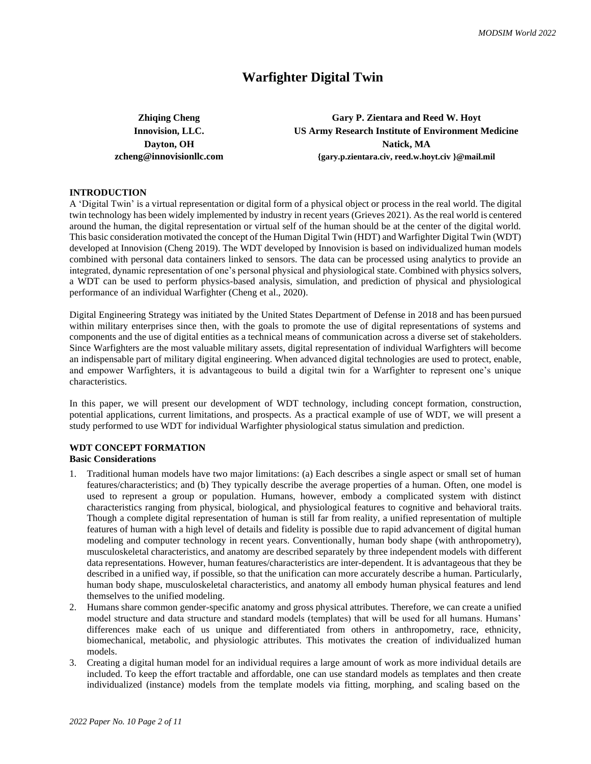# **Warfighter Digital Twin**

**Zhiqing Cheng Gary P. Zientara and Reed W. Hoyt Innovision, LLC. US Army Research Institute of Environment Medicine Dayton, OH Natick, MA [zcheng@innovisionllc.com](mailto:zcheng@innovisionllc.com) {gary.p.zientara.civ, reed.w.hoyt.civ }@mail.mil**

## **INTRODUCTION**

A 'Digital Twin' is a virtual representation or digital form of a physical object or process in the real world. The digital twin technology has been widely implemented by industry in recent years (Grieves 2021). As the real world is centered around the human, the digital representation or virtual self of the human should be at the center of the digital world. This basic consideration motivated the concept of the Human Digital Twin (HDT) and Warfighter Digital Twin (WDT) developed at Innovision (Cheng 2019). The WDT developed by Innovision is based on individualized human models combined with personal data containers linked to sensors. The data can be processed using analytics to provide an integrated, dynamic representation of one's personal physical and physiological state. Combined with physics solvers, a WDT can be used to perform physics-based analysis, simulation, and prediction of physical and physiological performance of an individual Warfighter (Cheng et al., 2020).

Digital Engineering Strategy was initiated by the United States Department of Defense in 2018 and has been pursued within military enterprises since then, with the goals to promote the use of digital representations of systems and components and the use of digital entities as a technical means of communication across a diverse set of stakeholders. Since Warfighters are the most valuable military assets, digital representation of individual Warfighters will become an indispensable part of military digital engineering. When advanced digital technologies are used to protect, enable, and empower Warfighters, it is advantageous to build a digital twin for a Warfighter to represent one's unique characteristics.

In this paper, we will present our development of WDT technology, including concept formation, construction, potential applications, current limitations, and prospects. As a practical example of use of WDT, we will present a study performed to use WDT for individual Warfighter physiological status simulation and prediction.

# **WDT CONCEPT FORMATION**

# **Basic Considerations**

- 1. Traditional human models have two major limitations: (a) Each describes a single aspect or small set of human features/characteristics; and (b) They typically describe the average properties of a human. Often, one model is used to represent a group or population. Humans, however, embody a complicated system with distinct characteristics ranging from physical, biological, and physiological features to cognitive and behavioral traits. Though a complete digital representation of human is still far from reality, a unified representation of multiple features of human with a high level of details and fidelity is possible due to rapid advancement of digital human modeling and computer technology in recent years. Conventionally, human body shape (with anthropometry), musculoskeletal characteristics, and anatomy are described separately by three independent models with different data representations. However, human features/characteristics are inter-dependent. It is advantageous that they be described in a unified way, if possible, so that the unification can more accurately describe a human. Particularly, human body shape, musculoskeletal characteristics, and anatomy all embody human physical features and lend themselves to the unified modeling.
- 2. Humans share common gender-specific anatomy and gross physical attributes. Therefore, we can create a unified model structure and data structure and standard models (templates) that will be used for all humans. Humans' differences make each of us unique and differentiated from others in anthropometry, race, ethnicity, biomechanical, metabolic, and physiologic attributes. This motivates the creation of individualized human models.
- 3. Creating a digital human model for an individual requires a large amount of work as more individual details are included. To keep the effort tractable and affordable, one can use standard models as templates and then create individualized (instance) models from the template models via fitting, morphing, and scaling based on the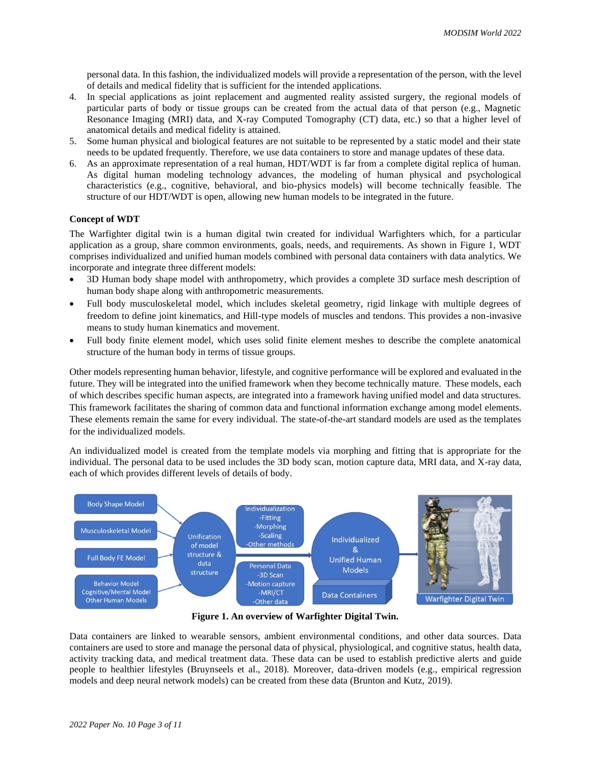personal data. In this fashion, the individualized models will provide a representation of the person, with the level of details and medical fidelity that is sufficient for the intended applications.

- 4. In special applications as joint replacement and augmented reality assisted surgery, the regional models of particular parts of body or tissue groups can be created from the actual data of that person (e.g., Magnetic Resonance Imaging (MRI) data, and X-ray Computed Tomography (CT) data, etc.) so that a higher level of anatomical details and medical fidelity is attained.
- 5. Some human physical and biological features are not suitable to be represented by a static model and their state needs to be updated frequently. Therefore, we use data containers to store and manage updates of these data.
- 6. As an approximate representation of a real human, HDT/WDT is far from a complete digital replica of human. As digital human modeling technology advances, the modeling of human physical and psychological characteristics (e.g., cognitive, behavioral, and bio-physics models) will become technically feasible. The structure of our HDT/WDT is open, allowing new human models to be integrated in the future.

# **Concept of WDT**

The Warfighter digital twin is a human digital twin created for individual Warfighters which, for a particular application as a group, share common environments, goals, needs, and requirements. As shown in Figure 1, WDT comprises individualized and unified human models combined with personal data containers with data analytics. We incorporate and integrate three different models:

- 3D Human body shape model with anthropometry, which provides a complete 3D surface mesh description of human body shape along with anthropometric measurements.
- Full body musculoskeletal model, which includes skeletal geometry, rigid linkage with multiple degrees of freedom to define joint kinematics, and Hill-type models of muscles and tendons. This provides a non-invasive means to study human kinematics and movement.
- Full body finite element model, which uses solid finite element meshes to describe the complete anatomical structure of the human body in terms of tissue groups.

Other models representing human behavior, lifestyle, and cognitive performance will be explored and evaluated in the future. They will be integrated into the unified framework when they become technically mature. These models, each of which describes specific human aspects, are integrated into a framework having unified model and data structures. This framework facilitates the sharing of common data and functional information exchange among model elements. These elements remain the same for every individual. The state-of-the-art standard models are used as the templates for the individualized models.

An individualized model is created from the template models via morphing and fitting that is appropriate for the individual. The personal data to be used includes the 3D body scan, motion capture data, MRI data, and X-ray data, each of which provides different levels of details of body.



**Figure 1. An overview of Warfighter Digital Twin.**

Data containers are linked to wearable sensors, ambient environmental conditions, and other data sources. Data containers are used to store and manage the personal data of physical, physiological, and cognitive status, health data, activity tracking data, and medical treatment data. These data can be used to establish predictive alerts and guide people to healthier lifestyles (Bruynseels et al., 2018). Moreover, data-driven models (e.g., empirical regression models and deep neural network models) can be created from these data (Brunton and Kutz, 2019).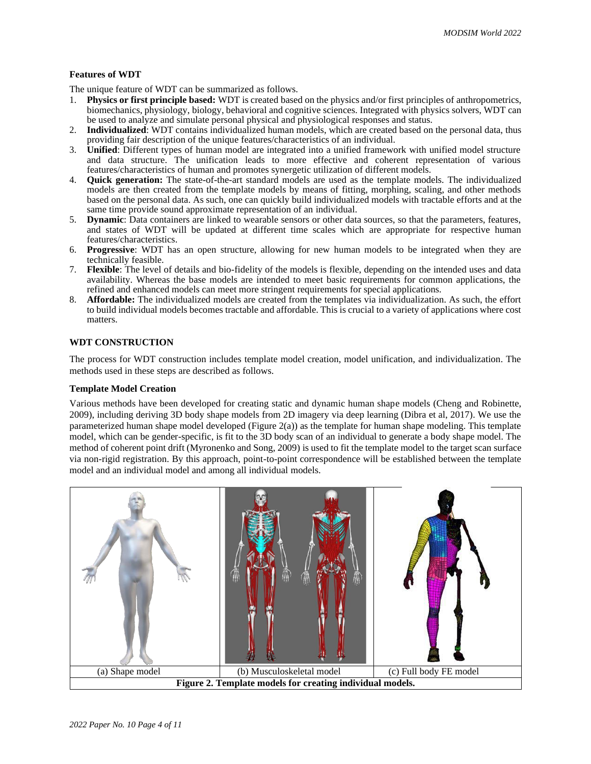## **Features of WDT**

The unique feature of WDT can be summarized as follows.

- 1. **Physics or first principle based:** WDT is created based on the physics and/or first principles of anthropometrics, biomechanics, physiology, biology, behavioral and cognitive sciences. Integrated with physics solvers, WDT can be used to analyze and simulate personal physical and physiological responses and status.
- 2. **Individualized**: WDT contains individualized human models, which are created based on the personal data, thus providing fair description of the unique features/characteristics of an individual.
- 3. **Unified**: Different types of human model are integrated into a unified framework with unified model structure and data structure. The unification leads to more effective and coherent representation of various features/characteristics of human and promotes synergetic utilization of different models.
- 4. **Quick generation:** The state-of-the-art standard models are used as the template models. The individualized models are then created from the template models by means of fitting, morphing, scaling, and other methods based on the personal data. As such, one can quickly build individualized models with tractable efforts and at the same time provide sound approximate representation of an individual.
- 5. **Dynamic**: Data containers are linked to wearable sensors or other data sources, so that the parameters, features, and states of WDT will be updated at different time scales which are appropriate for respective human features/characteristics.
- 6. **Progressive**: WDT has an open structure, allowing for new human models to be integrated when they are technically feasible.
- 7. **Flexible**: The level of details and bio-fidelity of the models is flexible, depending on the intended uses and data availability. Whereas the base models are intended to meet basic requirements for common applications, the refined and enhanced models can meet more stringent requirements for special applications.
- 8. **Affordable:** The individualized models are created from the templates via individualization. As such, the effort to build individual models becomes tractable and affordable. This is crucial to a variety of applications where cost matters.

# **WDT CONSTRUCTION**

The process for WDT construction includes template model creation, model unification, and individualization. The methods used in these steps are described as follows.

## **Template Model Creation**

Various methods have been developed for creating static and dynamic human shape models (Cheng and Robinette, 2009), including deriving 3D body shape models from 2D imagery via deep learning (Dibra et al, 2017). We use the parameterized human shape model developed (Figure 2(a)) as the template for human shape modeling. This template model, which can be gender-specific, is fit to the 3D body scan of an individual to generate a body shape model. The method of coherent point drift (Myronenko and Song, 2009) is used to fit the template model to the target scan surface via non-rigid registration. By this approach, point-to-point correspondence will be established between the template model and an individual model and among all individual models.

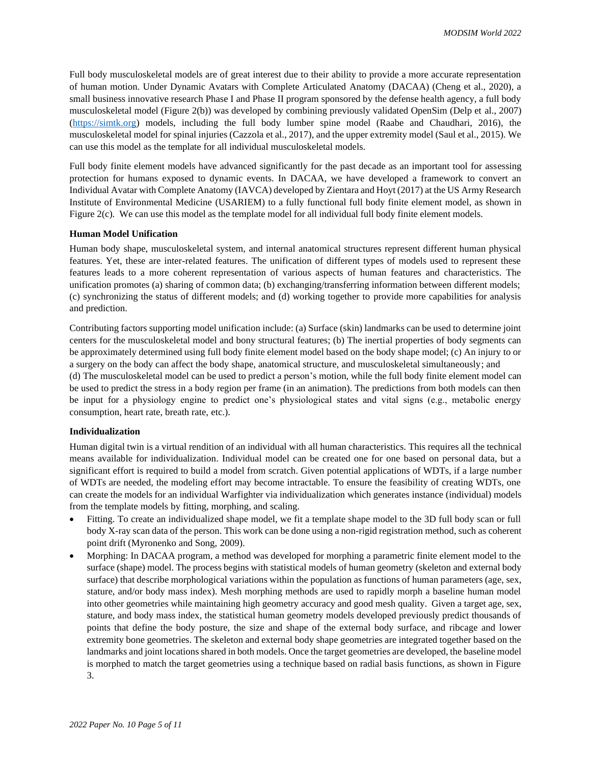Full body musculoskeletal models are of great interest due to their ability to provide a more accurate representation of human motion. Under Dynamic Avatars with Complete Articulated Anatomy (DACAA) (Cheng et al., 2020), a small business innovative research Phase I and Phase II program sponsored by the defense health agency, a full body musculoskeletal model (Figure 2(b)) was developed by combining previously validated OpenSim (Delp et al., 2007) [\(https://simtk.org\)](https://simtk.org/) models, including the full body lumber spine model (Raabe and Chaudhari, 2016), the musculoskeletal model for spinal injuries (Cazzola et al., 2017), and the upper extremity model (Saul et al., 2015). We can use this model as the template for all individual musculoskeletal models.

Full body finite element models have advanced significantly for the past decade as an important tool for assessing protection for humans exposed to dynamic events. In DACAA, we have developed a framework to convert an Individual Avatar with Complete Anatomy (IAVCA) developed by Zientara and Hoyt (2017) at the US Army Research Institute of Environmental Medicine (USARIEM) to a fully functional full body finite element model, as shown in Figure 2(c). We can use this model as the template model for all individual full body finite element models.

#### **Human Model Unification**

Human body shape, musculoskeletal system, and internal anatomical structures represent different human physical features. Yet, these are inter-related features. The unification of different types of models used to represent these features leads to a more coherent representation of various aspects of human features and characteristics. The unification promotes (a) sharing of common data; (b) exchanging/transferring information between different models; (c) synchronizing the status of different models; and (d) working together to provide more capabilities for analysis and prediction.

Contributing factors supporting model unification include: (a) Surface (skin) landmarks can be used to determine joint centers for the musculoskeletal model and bony structural features; (b) The inertial properties of body segments can be approximately determined using full body finite element model based on the body shape model; (c) An injury to or a surgery on the body can affect the body shape, anatomical structure, and musculoskeletal simultaneously; and (d) The musculoskeletal model can be used to predict a person's motion, while the full body finite element model can be used to predict the stress in a body region per frame (in an animation). The predictions from both models can then be input for a physiology engine to predict one's physiological states and vital signs (e.g., metabolic energy consumption, heart rate, breath rate, etc.).

#### **Individualization**

Human digital twin is a virtual rendition of an individual with all human characteristics. This requires all the technical means available for individualization. Individual model can be created one for one based on personal data, but a significant effort is required to build a model from scratch. Given potential applications of WDTs, if a large number of WDTs are needed, the modeling effort may become intractable. To ensure the feasibility of creating WDTs, one can create the models for an individual Warfighter via individualization which generates instance (individual) models from the template models by fitting, morphing, and scaling.

- Fitting. To create an individualized shape model, we fit a template shape model to the 3D full body scan or full body X-ray scan data of the person. This work can be done using a non-rigid registration method, such as coherent point drift (Myronenko and Song, 2009).
- Morphing: In DACAA program, a method was developed for morphing a parametric finite element model to the surface (shape) model. The process begins with statistical models of human geometry (skeleton and external body surface) that describe morphological variations within the population as functions of human parameters (age, sex, stature, and/or body mass index). Mesh morphing methods are used to rapidly morph a baseline human model into other geometries while maintaining high geometry accuracy and good mesh quality. Given a target age, sex, stature, and body mass index, the statistical human geometry models developed previously predict thousands of points that define the body posture, the size and shape of the external body surface, and ribcage and lower extremity bone geometries. The skeleton and external body shape geometries are integrated together based on the landmarks and joint locations shared in both models. Once the target geometries are developed, the baseline model is morphed to match the target geometries using a technique based on radial basis functions, as shown in Figure 3.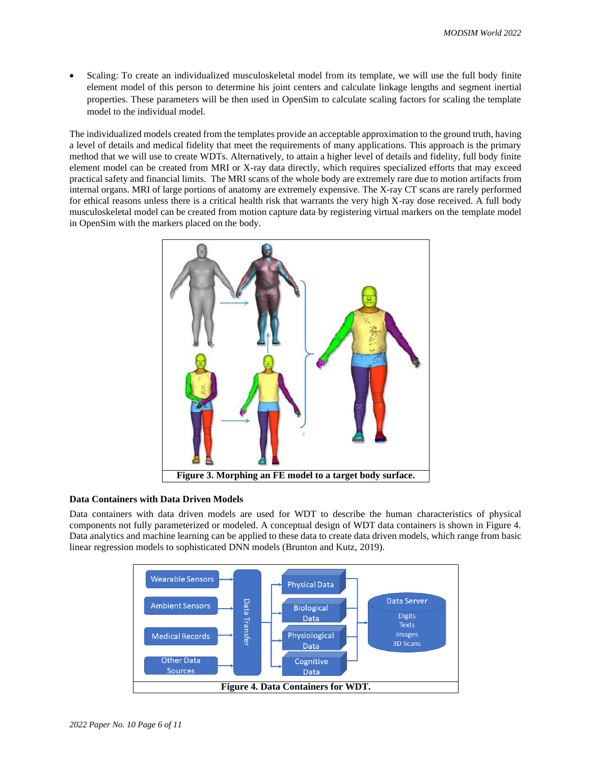• Scaling: To create an individualized musculoskeletal model from its template, we will use the full body finite element model of this person to determine his joint centers and calculate linkage lengths and segment inertial properties. These parameters will be then used in OpenSim to calculate scaling factors for scaling the template model to the individual model.

The individualized models created from the templates provide an acceptable approximation to the ground truth, having a level of details and medical fidelity that meet the requirements of many applications. This approach is the primary method that we will use to create WDTs. Alternatively, to attain a higher level of details and fidelity, full body finite element model can be created from MRI or X-ray data directly, which requires specialized efforts that may exceed practical safety and financial limits. The MRI scans of the whole body are extremely rare due to motion artifacts from internal organs. MRI of large portions of anatomy are extremely expensive. The X-ray CT scans are rarely performed for ethical reasons unless there is a critical health risk that warrants the very high X-ray dose received. A full body musculoskeletal model can be created from motion capture data by registering virtual markers on the template model in OpenSim with the markers placed on the body.



## **Data Containers with Data Driven Models**

Data containers with data driven models are used for WDT to describe the human characteristics of physical components not fully parameterized or modeled. A conceptual design of WDT data containers is shown in Figure 4. Data analytics and machine learning can be applied to these data to create data driven models, which range from basic linear regression models to sophisticated DNN models (Brunton and Kutz, 2019).

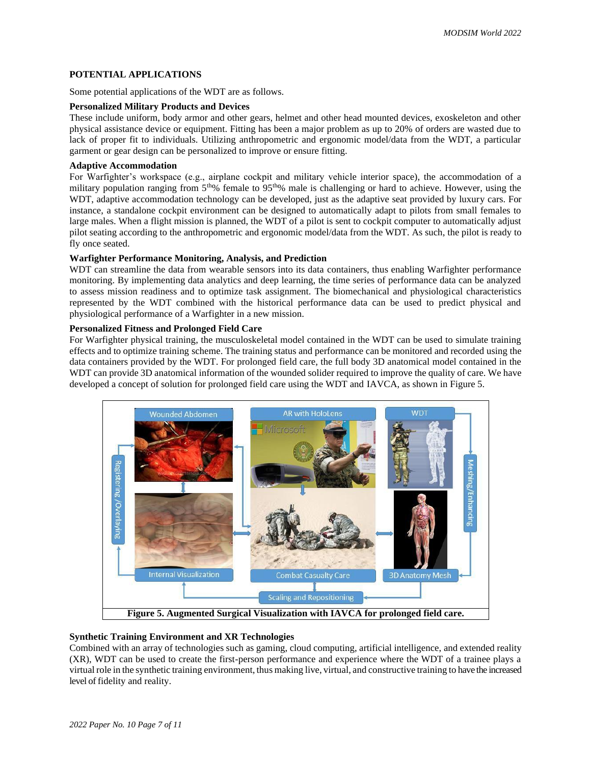# **POTENTIAL APPLICATIONS**

Some potential applications of the WDT are as follows.

### **Personalized Military Products and Devices**

These include uniform, body armor and other gears, helmet and other head mounted devices, exoskeleton and other physical assistance device or equipment. Fitting has been a major problem as up to 20% of orders are wasted due to lack of proper fit to individuals. Utilizing anthropometric and ergonomic model/data from the WDT, a particular garment or gear design can be personalized to improve or ensure fitting.

# **Adaptive Accommodation**

For Warfighter's workspace (e.g., airplane cockpit and military vehicle interior space), the accommodation of a military population ranging from  $5<sup>th</sup>%$  female to 95<sup>th</sup>% male is challenging or hard to achieve. However, using the WDT, adaptive accommodation technology can be developed, just as the adaptive seat provided by luxury cars. For instance, a standalone cockpit environment can be designed to automatically adapt to pilots from small females to large males. When a flight mission is planned, the WDT of a pilot is sent to cockpit computer to automatically adjust pilot seating according to the anthropometric and ergonomic model/data from the WDT. As such, the pilot is ready to fly once seated.

#### **Warfighter Performance Monitoring, Analysis, and Prediction**

WDT can streamline the data from wearable sensors into its data containers, thus enabling Warfighter performance monitoring. By implementing data analytics and deep learning, the time series of performance data can be analyzed to assess mission readiness and to optimize task assignment. The biomechanical and physiological characteristics represented by the WDT combined with the historical performance data can be used to predict physical and physiological performance of a Warfighter in a new mission.

# **Personalized Fitness and Prolonged Field Care**

For Warfighter physical training, the musculoskeletal model contained in the WDT can be used to simulate training effects and to optimize training scheme. The training status and performance can be monitored and recorded using the data containers provided by the WDT. For prolonged field care, the full body 3D anatomical model contained in the WDT can provide 3D anatomical information of the wounded solider required to improve the quality of care. We have developed a concept of solution for prolonged field care using the WDT and IAVCA, as shown in Figure 5.



## **Synthetic Training Environment and XR Technologies**

Combined with an array of technologies such as gaming, cloud computing, artificial intelligence, and extended reality (XR), WDT can be used to create the first-person performance and experience where the WDT of a trainee plays a virtual role in the synthetic training environment, thus making live, virtual, and constructive training to have the increased level of fidelity and reality.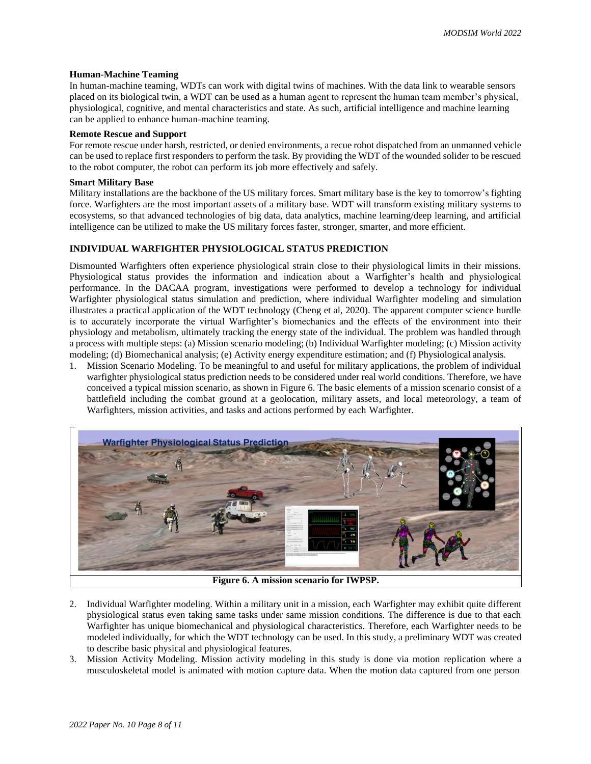#### **Human-Machine Teaming**

In human-machine teaming, WDTs can work with digital twins of machines. With the data link to wearable sensors placed on its biological twin, a WDT can be used as a human agent to represent the human team member's physical, physiological, cognitive, and mental characteristics and state. As such, artificial intelligence and machine learning can be applied to enhance human-machine teaming.

#### **Remote Rescue and Support**

For remote rescue under harsh, restricted, or denied environments, a recue robot dispatched from an unmanned vehicle can be used to replace first responders to perform the task. By providing the WDT of the wounded solider to be rescued to the robot computer, the robot can perform its job more effectively and safely.

#### **Smart Military Base**

Military installations are the backbone of the US military forces. Smart military base is the key to tomorrow's fighting force. Warfighters are the most important assets of a military base. WDT will transform existing military systems to ecosystems, so that advanced technologies of big data, data analytics, machine learning/deep learning, and artificial intelligence can be utilized to make the US military forces faster, stronger, smarter, and more efficient.

## **INDIVIDUAL WARFIGHTER PHYSIOLOGICAL STATUS PREDICTION**

Dismounted Warfighters often experience physiological strain close to their physiological limits in their missions. Physiological status provides the information and indication about a Warfighter's health and physiological performance. In the DACAA program, investigations were performed to develop a technology for individual Warfighter physiological status simulation and prediction, where individual Warfighter modeling and simulation illustrates a practical application of the WDT technology (Cheng et al, 2020). The apparent computer science hurdle is to accurately incorporate the virtual Warfighter's biomechanics and the effects of the environment into their physiology and metabolism, ultimately tracking the energy state of the individual. The problem was handled through a process with multiple steps: (a) Mission scenario modeling; (b) Individual Warfighter modeling; (c) Mission activity modeling; (d) Biomechanical analysis; (e) Activity energy expenditure estimation; and (f) Physiological analysis.

1. Mission Scenario Modeling. To be meaningful to and useful for military applications, the problem of individual warfighter physiological status prediction needs to be considered under real world conditions. Therefore, we have conceived a typical mission scenario, as shown in Figure 6. The basic elements of a mission scenario consist of a battlefield including the combat ground at a geolocation, military assets, and local meteorology, a team of Warfighters, mission activities, and tasks and actions performed by each Warfighter.



**Figure 6. A mission scenario for IWPSP.**

- 2. Individual Warfighter modeling. Within a military unit in a mission, each Warfighter may exhibit quite different physiological status even taking same tasks under same mission conditions. The difference is due to that each Warfighter has unique biomechanical and physiological characteristics. Therefore, each Warfighter needs to be modeled individually, for which the WDT technology can be used. In this study, a preliminary WDT was created to describe basic physical and physiological features.
- 3. Mission Activity Modeling. Mission activity modeling in this study is done via motion replication where a musculoskeletal model is animated with motion capture data. When the motion data captured from one person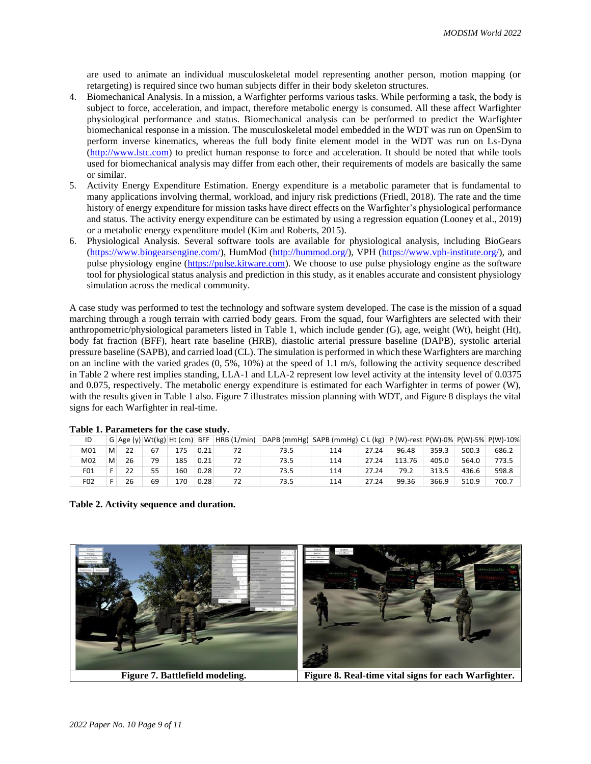are used to animate an individual musculoskeletal model representing another person, motion mapping (or retargeting) is required since two human subjects differ in their body skeleton structures.

- 4. Biomechanical Analysis. In a mission, a Warfighter performs various tasks. While performing a task, the body is subject to force, acceleration, and impact, therefore metabolic energy is consumed. All these affect Warfighter physiological performance and status. Biomechanical analysis can be performed to predict the Warfighter biomechanical response in a mission. The musculoskeletal model embedded in the WDT was run on OpenSim to perform inverse kinematics, whereas the full body finite element model in the WDT was run on Ls-Dyna [\(http://www.lstc.com\)](http://www.lstc.com/products/ls-dyna) to predict human response to force and acceleration. It should be noted that while tools used for biomechanical analysis may differ from each other, their requirements of models are basically the same or similar.
- 5. Activity Energy Expenditure Estimation. Energy expenditure is a metabolic parameter that is fundamental to many applications involving thermal, workload, and injury risk predictions (Friedl, 2018). The rate and the time history of energy expenditure for mission tasks have direct effects on the Warfighter's physiological performance and status. The activity energy expenditure can be estimated by using a regression equation (Looney et al., 2019) or a metabolic energy expenditure model (Kim and Roberts, 2015).
- 6. Physiological Analysis. Several software tools are available for physiological analysis, including BioGears [\(https://www.biogearsengine.com/\)](https://www.biogearsengine.com/), HumMod [\(http://hummod.org/\)](http://hummod.org/), VPH [\(https://www.vph-institute.org/\)](https://www.vph-institute.org/), and pulse physiology engine [\(https://pulse.kitware.com\)](https://pulse.kitware.com/). We choose to use pulse physiology engine as the software tool for physiological status analysis and prediction in this study, as it enables accurate and consistent physiology simulation across the medical community.

A case study was performed to test the technology and software system developed. The case is the mission of a squad marching through a rough terrain with carried body gears. From the squad, four Warfighters are selected with their anthropometric/physiological parameters listed in Table 1, which include gender (G), age, weight (Wt), height (Ht), body fat fraction (BFF), heart rate baseline (HRB), diastolic arterial pressure baseline (DAPB), systolic arterial pressure baseline (SAPB), and carried load (CL). The simulation is performed in which these Warfighters are marching on an incline with the varied grades  $(0, 5\%, 10\%)$  at the speed of 1.1 m/s, following the activity sequence described in Table 2 where rest implies standing, LLA-1 and LLA-2 represent low level activity at the intensity level of 0.0375 and 0.075, respectively. The metabolic energy expenditure is estimated for each Warfighter in terms of power (W), with the results given in Table 1 also. Figure 7 illustrates mission planning with WDT, and Figure 8 displays the vital signs for each Warfighter in real-time.

| ID  |   |    |    |     |      | G $ Age(y) Wt(kg) Ht(cm) BFF HRB(1/min)$ | DAPB (mmHg)  SAPB (mmHg)  C L (kg)   P (W)-rest P(W)-0%   P(W)-5%   P(W)-10% |     |       |        |       |       |       |
|-----|---|----|----|-----|------|------------------------------------------|------------------------------------------------------------------------------|-----|-------|--------|-------|-------|-------|
| M01 | м | 22 | 67 | 175 | 0.21 |                                          | 73.5                                                                         | 114 | 27.24 | 96.48  | 359.3 | 500.3 | 686.2 |
| M02 | м | 26 | 79 | 185 | 0.21 |                                          | 73.5                                                                         | 114 | 27.24 | 113.76 | 405.0 | 564.0 | 773.5 |
| F01 |   | 22 | 55 | 160 | 0.28 |                                          | 73.5                                                                         | 114 | 27.24 | 79.2   | 313.5 | 436.6 | 598.8 |
| F02 |   | 26 | 69 | 170 | 0.28 |                                          | 73.5                                                                         | 114 | 27.24 | 99.36  | 366.9 | 510.9 | 700.7 |

#### **Table 1. Parameters for the case study.**

**Table 2. Activity sequence and duration.**

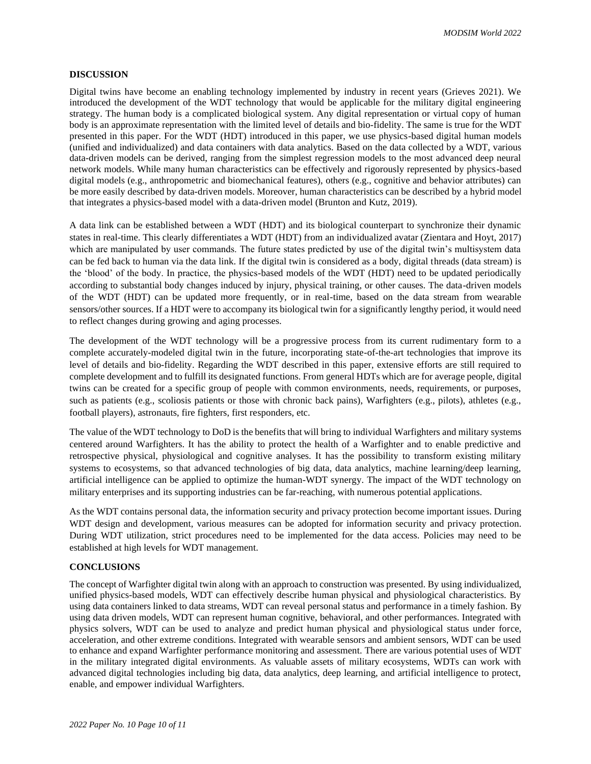# **DISCUSSION**

Digital twins have become an enabling technology implemented by industry in recent years (Grieves 2021). We introduced the development of the WDT technology that would be applicable for the military digital engineering strategy. The human body is a complicated biological system. Any digital representation or virtual copy of human body is an approximate representation with the limited level of details and bio-fidelity. The same is true for the WDT presented in this paper. For the WDT (HDT) introduced in this paper, we use physics-based digital human models (unified and individualized) and data containers with data analytics. Based on the data collected by a WDT, various data-driven models can be derived, ranging from the simplest regression models to the most advanced deep neural network models. While many human characteristics can be effectively and rigorously represented by physics-based digital models (e.g., anthropometric and biomechanical features), others (e.g., cognitive and behavior attributes) can be more easily described by data-driven models. Moreover, human characteristics can be described by a hybrid model that integrates a physics-based model with a data-driven model (Brunton and Kutz, 2019).

A data link can be established between a WDT (HDT) and its biological counterpart to synchronize their dynamic states in real-time. This clearly differentiates a WDT (HDT) from an individualized avatar (Zientara and Hoyt, 2017) which are manipulated by user commands. The future states predicted by use of the digital twin's multisystem data can be fed back to human via the data link. If the digital twin is considered as a body, digital threads (data stream) is the 'blood' of the body. In practice, the physics-based models of the WDT (HDT) need to be updated periodically according to substantial body changes induced by injury, physical training, or other causes. The data-driven models of the WDT (HDT) can be updated more frequently, or in real-time, based on the data stream from wearable sensors/other sources. If a HDT were to accompany its biological twin for a significantly lengthy period, it would need to reflect changes during growing and aging processes.

The development of the WDT technology will be a progressive process from its current rudimentary form to a complete accurately-modeled digital twin in the future, incorporating state-of-the-art technologies that improve its level of details and bio-fidelity. Regarding the WDT described in this paper, extensive efforts are still required to complete development and to fulfill its designated functions. From general HDTs which are for average people, digital twins can be created for a specific group of people with common environments, needs, requirements, or purposes, such as patients (e.g., scoliosis patients or those with chronic back pains), Warfighters (e.g., pilots), athletes (e.g., football players), astronauts, fire fighters, first responders, etc.

The value of the WDT technology to DoD is the benefits that will bring to individual Warfighters and military systems centered around Warfighters. It has the ability to protect the health of a Warfighter and to enable predictive and retrospective physical, physiological and cognitive analyses. It has the possibility to transform existing military systems to ecosystems, so that advanced technologies of big data, data analytics, machine learning/deep learning, artificial intelligence can be applied to optimize the human-WDT synergy. The impact of the WDT technology on military enterprises and its supporting industries can be far-reaching, with numerous potential applications.

As the WDT contains personal data, the information security and privacy protection become important issues. During WDT design and development, various measures can be adopted for information security and privacy protection. During WDT utilization, strict procedures need to be implemented for the data access. Policies may need to be established at high levels for WDT management.

# **CONCLUSIONS**

The concept of Warfighter digital twin along with an approach to construction was presented. By using individualized, unified physics-based models, WDT can effectively describe human physical and physiological characteristics. By using data containers linked to data streams, WDT can reveal personal status and performance in a timely fashion. By using data driven models, WDT can represent human cognitive, behavioral, and other performances. Integrated with physics solvers, WDT can be used to analyze and predict human physical and physiological status under force, acceleration, and other extreme conditions. Integrated with wearable sensors and ambient sensors, WDT can be used to enhance and expand Warfighter performance monitoring and assessment. There are various potential uses of WDT in the military integrated digital environments. As valuable assets of military ecosystems, WDTs can work with advanced digital technologies including big data, data analytics, deep learning, and artificial intelligence to protect, enable, and empower individual Warfighters.